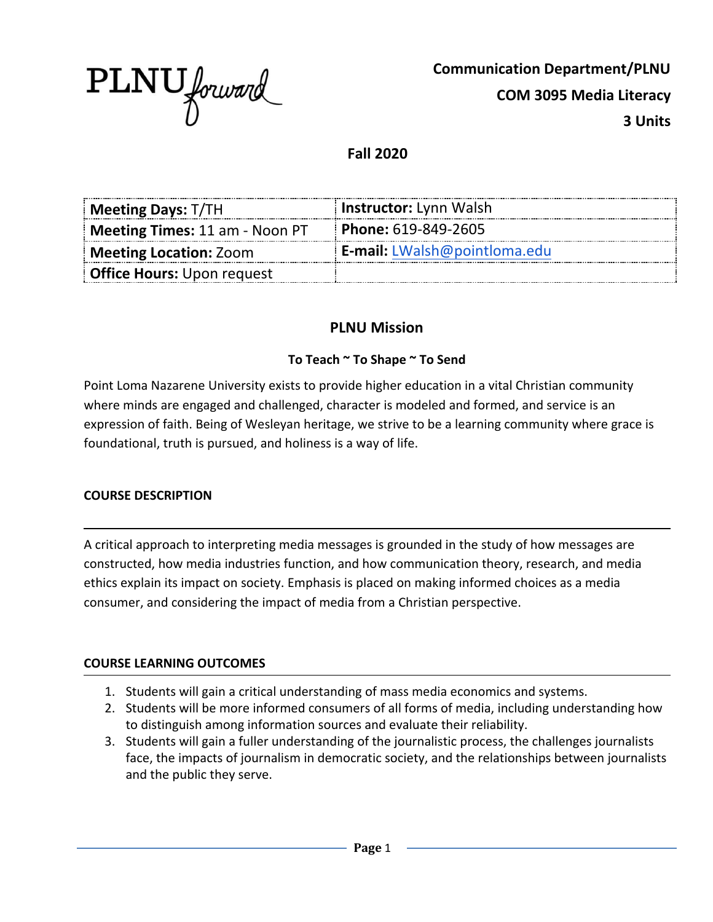

**Communication Department/PLNU COM 3095 Media Literacy 3 Units**

**Fall 2020**

| Meeting Days: T/TH                | <b>Instructor:</b> Lynn Walsh       |
|-----------------------------------|-------------------------------------|
| Meeting Times: 11 am - Noon PT    | Phone: 619-849-2605                 |
| <b>Meeting Location: Zoom</b>     | <b>E-mail:</b> LWalsh@pointloma.edu |
| <b>Office Hours:</b> Upon request |                                     |

## **PLNU Mission**

#### **To Teach ~ To Shape ~ To Send**

Point Loma Nazarene University exists to provide higher education in a vital Christian community where minds are engaged and challenged, character is modeled and formed, and service is an expression of faith. Being of Wesleyan heritage, we strive to be a learning community where grace is foundational, truth is pursued, and holiness is a way of life.

#### **COURSE DESCRIPTION**

A critical approach to interpreting media messages is grounded in the study of how messages are constructed, how media industries function, and how communication theory, research, and media ethics explain its impact on society. Emphasis is placed on making informed choices as a media consumer, and considering the impact of media from a Christian perspective.

#### **COURSE LEARNING OUTCOMES**

- 1. Students will gain a critical understanding of mass media economics and systems.
- 2. Students will be more informed consumers of all forms of media, including understanding how to distinguish among information sources and evaluate their reliability.
- 3. Students will gain a fuller understanding of the journalistic process, the challenges journalists face, the impacts of journalism in democratic society, and the relationships between journalists and the public they serve.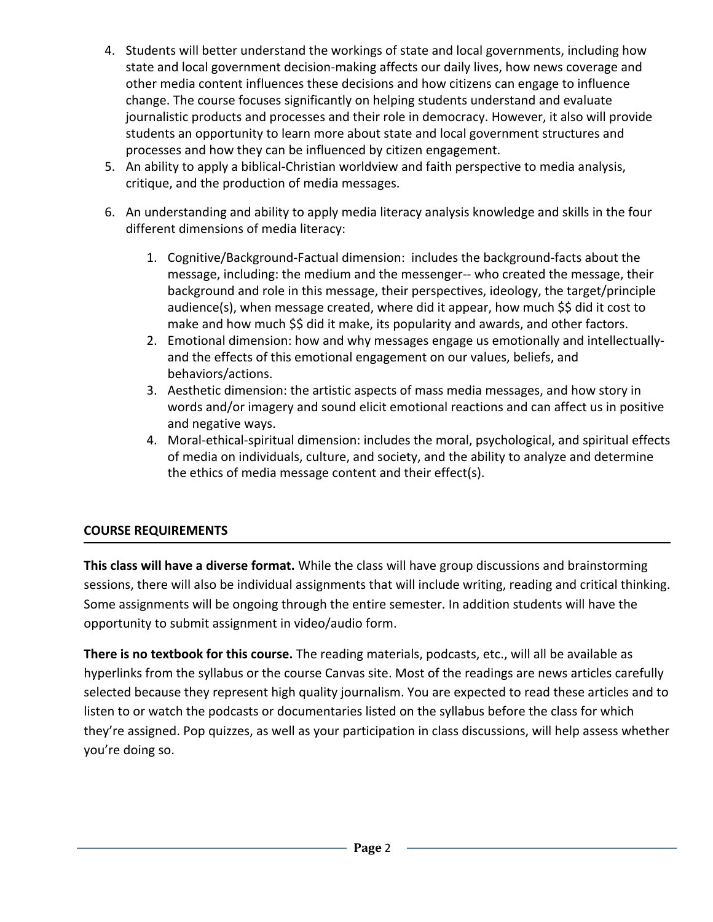- 4. Students will better understand the workings of state and local governments, including how state and local government decision-making affects our daily lives, how news coverage and other media content influences these decisions and how citizens can engage to influence change. The course focuses significantly on helping students understand and evaluate journalistic products and processes and their role in democracy. However, it also will provide students an opportunity to learn more about state and local government structures and processes and how they can be influenced by citizen engagement.
- 5. An ability to apply a biblical-Christian worldview and faith perspective to media analysis, critique, and the production of media messages.
- 6. An understanding and ability to apply media literacy analysis knowledge and skills in the four different dimensions of media literacy:
	- 1. Cognitive/Background-Factual dimension: includes the background-facts about the message, including: the medium and the messenger-- who created the message, their background and role in this message, their perspectives, ideology, the target/principle audience(s), when message created, where did it appear, how much \$\$ did it cost to make and how much \$\$ did it make, its popularity and awards, and other factors.
	- 2. Emotional dimension: how and why messages engage us emotionally and intellectuallyand the effects of this emotional engagement on our values, beliefs, and behaviors/actions.
	- 3. Aesthetic dimension: the artistic aspects of mass media messages, and how story in words and/or imagery and sound elicit emotional reactions and can affect us in positive and negative ways.
	- 4. Moral-ethical-spiritual dimension: includes the moral, psychological, and spiritual effects of media on individuals, culture, and society, and the ability to analyze and determine the ethics of media message content and their effect(s).

## **COURSE REQUIREMENTS**

**This class will have a diverse format.** While the class will have group discussions and brainstorming sessions, there will also be individual assignments that will include writing, reading and critical thinking. Some assignments will be ongoing through the entire semester. In addition students will have the opportunity to submit assignment in video/audio form.

**There is no textbook for this course.** The reading materials, podcasts, etc., will all be available as hyperlinks from the syllabus or the course Canvas site. Most of the readings are news articles carefully selected because they represent high quality journalism. You are expected to read these articles and to listen to or watch the podcasts or documentaries listed on the syllabus before the class for which they're assigned. Pop quizzes, as well as your participation in class discussions, will help assess whether you're doing so.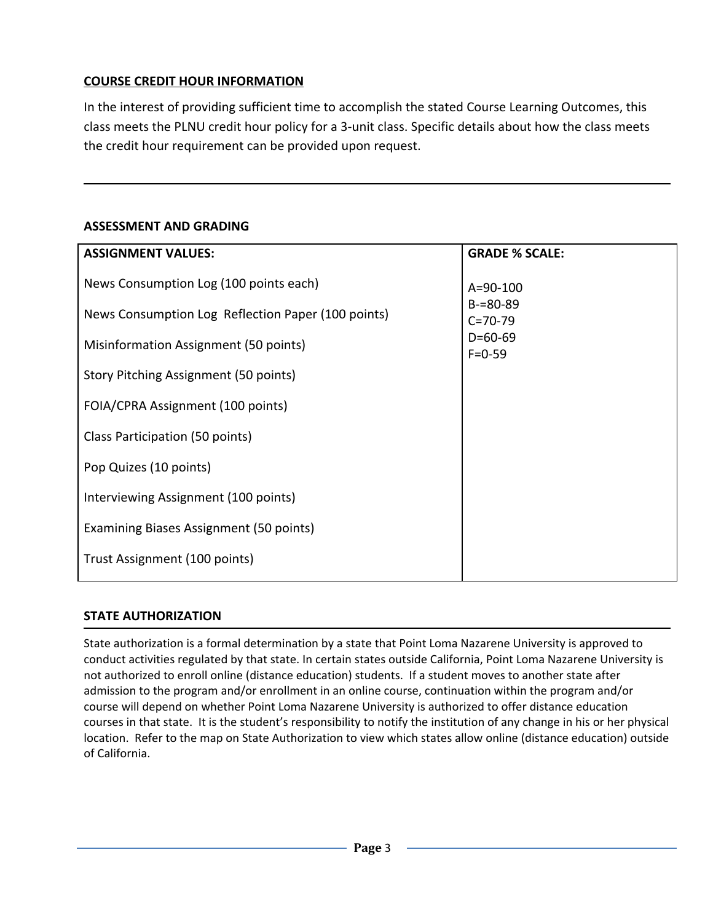## **COURSE CREDIT HOUR INFORMATION**

In the interest of providing sufficient time to accomplish the stated Course Learning Outcomes, this class meets the PLNU credit hour policy for a 3-unit class. Specific details about how the class meets the credit hour requirement can be provided upon request.

### **ASSESSMENT AND GRADING**

| <b>ASSIGNMENT VALUES:</b>                          | <b>GRADE % SCALE:</b>          |
|----------------------------------------------------|--------------------------------|
| News Consumption Log (100 points each)             | $A = 90 - 100$                 |
| News Consumption Log Reflection Paper (100 points) | $B = 80 - 89$<br>$C = 70 - 79$ |
| Misinformation Assignment (50 points)              | $D=60-69$<br>$F = 0 - 59$      |
| Story Pitching Assignment (50 points)              |                                |
| FOIA/CPRA Assignment (100 points)                  |                                |
| Class Participation (50 points)                    |                                |
| Pop Quizes (10 points)                             |                                |
| Interviewing Assignment (100 points)               |                                |
| Examining Biases Assignment (50 points)            |                                |
| Trust Assignment (100 points)                      |                                |
|                                                    |                                |

#### **STATE AUTHORIZATION**

State authorization is a formal determination by a state that Point Loma Nazarene University is approved to conduct activities regulated by that state. In certain states outside California, Point Loma Nazarene University is not authorized to enroll online (distance education) students. If a student moves to another state after admission to the program and/or enrollment in an online course, continuation within the program and/or course will depend on whether Point Loma Nazarene University is authorized to offer distance education courses in that state. It is the student's responsibility to notify the institution of any change in his or her physical location. Refer to the map on State Authorization to view which states allow online (distance education) outside of California.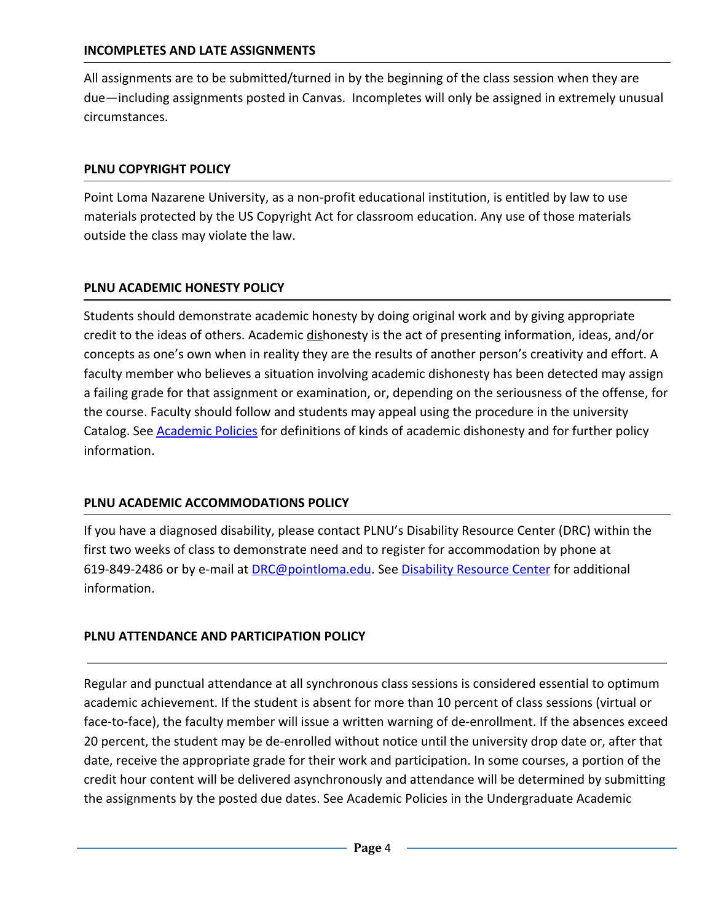#### **INCOMPLETES AND LATE ASSIGNMENTS**

All assignments are to be submitted/turned in by the beginning of the class session when they are due—including assignments posted in Canvas. Incompletes will only be assigned in extremely unusual circumstances.

#### **PLNU COPYRIGHT POLICY**

Point Loma Nazarene University, as a non-profit educational institution, is entitled by law to use materials protected by the US Copyright Act for classroom education. Any use of those materials outside the class may violate the law.

#### **PLNU ACADEMIC HONESTY POLICY**

Students should demonstrate academic honesty by doing original work and by giving appropriate credit to the ideas of others. Academic dishonesty is the act of presenting information, ideas, and/or concepts as one's own when in reality they are the results of another person's creativity and effort. A faculty member who believes a situation involving academic dishonesty has been detected may assign a failing grade for that assignment or examination, or, depending on the seriousness of the offense, for the course. Faculty should follow and students may appeal using the procedure in the university Catalog. See **Academic Policies** for definitions of kinds of academic dishonesty and for further policy information.

#### **PLNU ACADEMIC ACCOMMODATIONS POLICY**

If you have a diagnosed disability, please contact PLNU's Disability Resource Center (DRC) within the first two weeks of class to demonstrate need and to register for accommodation by phone at 619-849-2486 or by e-mail at [DRC@pointloma.edu.](mailto:DRC@pointloma.edu) See [Disability Resource Center](http://www.pointloma.edu/experience/offices/administrative-offices/academic-advising-office/disability-resource-center) for additional information.

#### **PLNU ATTENDANCE AND PARTICIPATION POLICY**

Regular and punctual attendance at all synchronous class sessions is considered essential to optimum academic achievement. If the student is absent for more than 10 percent of class sessions (virtual or face-to-face), the faculty member will issue a written warning of de-enrollment. If the absences exceed 20 percent, the student may be de-enrolled without notice until the university drop date or, after that date, receive the appropriate grade for their work and participation. In some courses, a portion of the credit hour content will be delivered asynchronously and attendance will be determined by submitting the assignments by the posted due dates. See Academic Policies in the Undergraduate Academic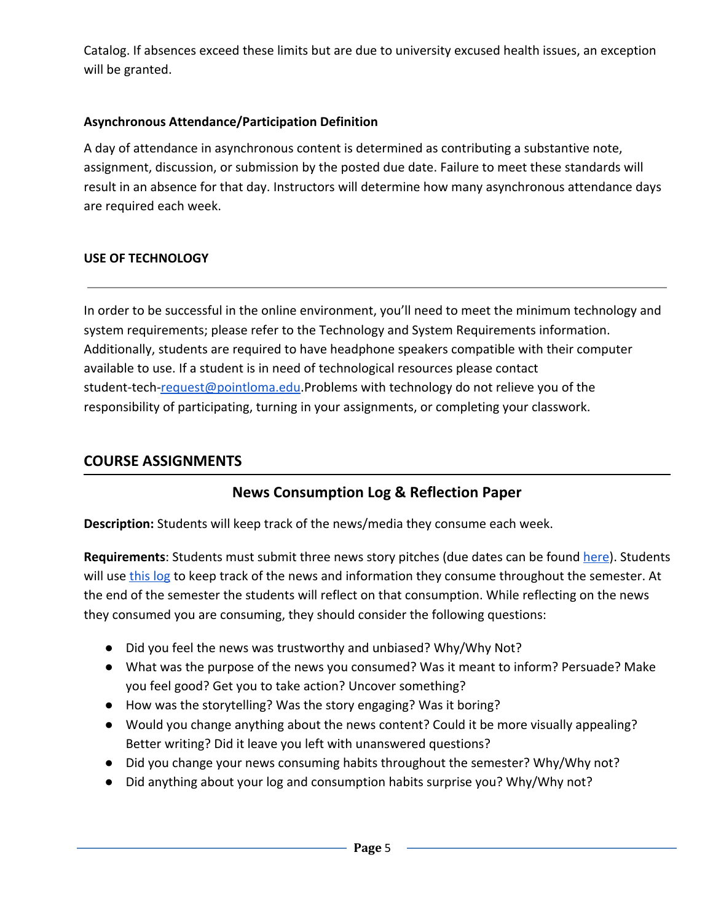Catalog. If absences exceed these limits but are due to university excused health issues, an exception will be granted.

### **Asynchronous Attendance/Participation Definition**

A day of attendance in asynchronous content is determined as contributing a substantive note, assignment, discussion, or submission by the posted due date. Failure to meet these standards will result in an absence for that day. Instructors will determine how many asynchronous attendance days are required each week.

### **USE OF TECHNOLOGY**

In order to be successful in the online environment, you'll need to meet the minimum technology and system requirements; please refer to the Technology and System Requirements information. Additionally, students are required to have headphone speakers compatible with their computer available to use. If a student is in need of technological resources please contact student-tech[-request@pointloma.edu](mailto:request@pointloma.edu).Problems with technology do not relieve you of the responsibility of participating, turning in your assignments, or completing your classwork.

## **COURSE ASSIGNMENTS**

## **News Consumption Log & Reflection Paper**

**Description:** Students will keep track of the news/media they consume each week.

Requirements: Students must submit three news story pitches (due dates can be found [here\)](https://docs.google.com/document/d/18AleA8cX47nuCj34j48sP26mhGvph7QIbvsDv3uoWeI/edit). Students will use [this log](https://docs.google.com/spreadsheets/d/1trv-u2xdkmNBalBVBSPOjO_M8aFbTFdw1dj5F9S8hiw/edit?usp=sharing) to keep track of the news and information they consume throughout the semester. At the end of the semester the students will reflect on that consumption. While reflecting on the news they consumed you are consuming, they should consider the following questions:

- Did you feel the news was trustworthy and unbiased? Why/Why Not?
- What was the purpose of the news you consumed? Was it meant to inform? Persuade? Make you feel good? Get you to take action? Uncover something?
- How was the storytelling? Was the story engaging? Was it boring?
- Would you change anything about the news content? Could it be more visually appealing? Better writing? Did it leave you left with unanswered questions?
- Did you change your news consuming habits throughout the semester? Why/Why not?
- Did anything about your log and consumption habits surprise you? Why/Why not?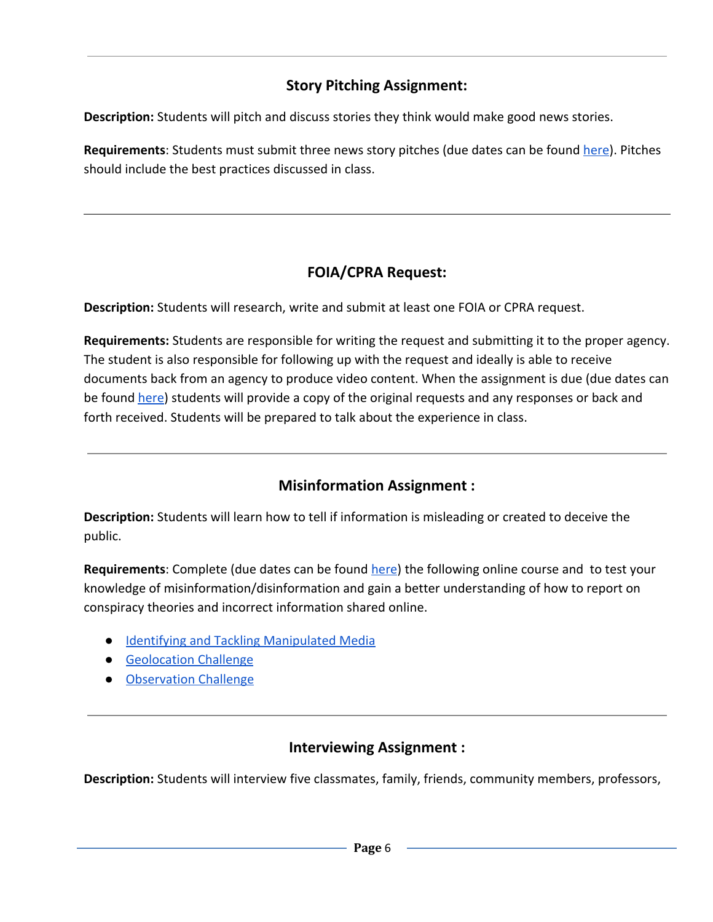## **Story Pitching Assignment:**

**Description:** Students will pitch and discuss stories they think would make good news stories.

**Requirements**: Students must submit three news story pitches (due dates can be found [here\)](https://docs.google.com/document/d/18AleA8cX47nuCj34j48sP26mhGvph7QIbvsDv3uoWeI/edit). Pitches should include the best practices discussed in class.

# **FOIA/CPRA Request:**

**Description:** Students will research, write and submit at least one FOIA or CPRA request.

**Requirements:** Students are responsible for writing the request and submitting it to the proper agency. The student is also responsible for following up with the request and ideally is able to receive documents back from an agency to produce video content. When the assignment is due (due dates can be found [here](https://docs.google.com/document/d/18AleA8cX47nuCj34j48sP26mhGvph7QIbvsDv3uoWeI/edit)) students will provide a copy of the original requests and any responses or back and forth received. Students will be prepared to talk about the experience in class.

# **Misinformation Assignment :**

**Description:** Students will learn how to tell if information is misleading or created to deceive the public.

Requirements: Complete (due dates can be found [here](https://docs.google.com/document/d/18AleA8cX47nuCj34j48sP26mhGvph7QIbvsDv3uoWeI/edit)) the following online course and to test your knowledge of misinformation/disinformation and gain a better understanding of how to report on conspiracy theories and incorrect information shared online.

- [Identifying and Tackling Manipulated Media](https://www.reuters.com/manipulatedmedia/en/)
- [Geolocation Challenge](https://firstdraftnews.org/en/education/curriculum-resource/test-your-verification-skills-with-our-geolocation-challenge/)
- [Observation Challenge](https://firstdraftnews.org/en/education/curriculum-resource/2-assessment-observation/)

## **Interviewing Assignment :**

**Description:** Students will interview five classmates, family, friends, community members, professors,